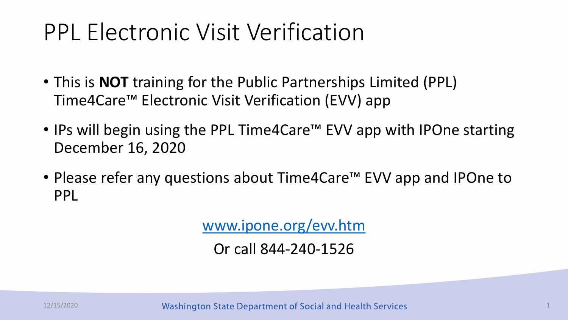### PPL Electronic Visit Verification

- This is **NOT** training for the Public Partnerships Limited (PPL) Time4Care™ Electronic Visit Verification (EVV) app
- IPs will begin using the PPL Time4Care™ EVV app with IPOne starting December 16, 2020
- Please refer any questions about Time4Care™ EVV app and IPOne to PPL

[www.ipone.org/evv.htm](http://www.ipone.org/evv.htm)

Or call 844-240-1526

12/15/2020 **12/15/2020** Washington State Department of Social and Health Services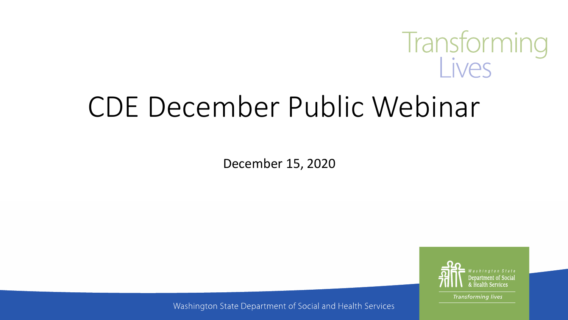

# CDE December Public Webinar

December 15, 2020



**Transforming lives** 

Washington State Department of Social and Health Services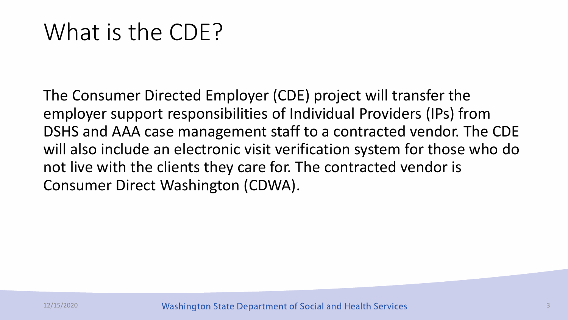### What is the CDE?

The Consumer Directed Employer (CDE) project will transfer the employer support responsibilities of Individual Providers (IPs) from DSHS and AAA case management staff to a contracted vendor. The CDE will also include an electronic visit verification system for those who do not live with the clients they care for. The contracted vendor is Consumer Direct Washington (CDWA).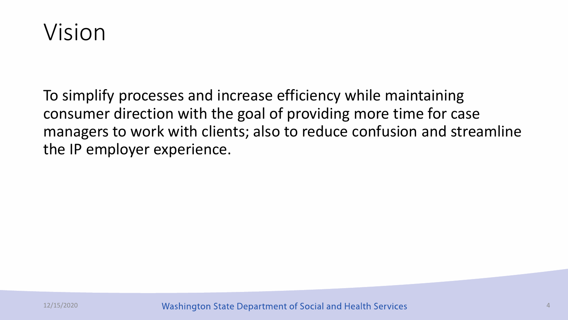

To simplify processes and increase efficiency while maintaining consumer direction with the goal of providing more time for case managers to work with clients; also to reduce confusion and streamline the IP employer experience.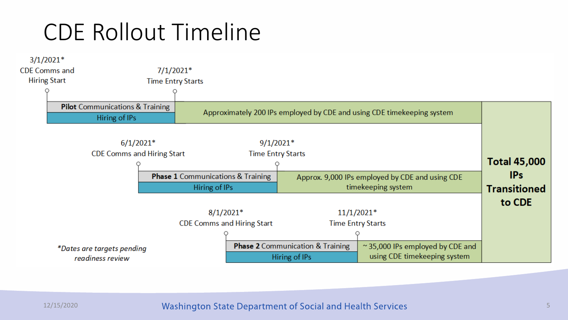### CDE Rollout Timeline

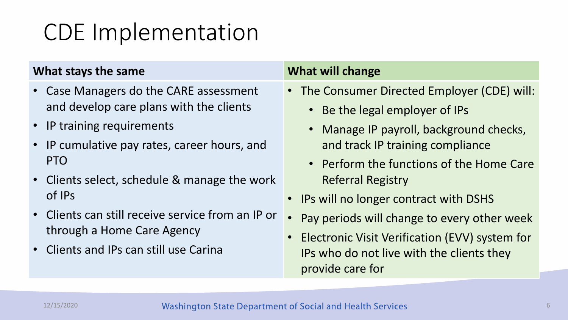### CDE Implementation

#### **What stays the same What will change**

- Case Managers do the CARE assessment and develop care plans with the clients
- IP training requirements
- IP cumulative pay rates, career hours, and PTO
- Clients select, schedule & manage the work of IPs
- Clients can still receive service from an IP or through a Home Care Agency
- Clients and IPs can still use Carina

- The Consumer Directed Employer (CDE) will:
	- Be the legal employer of IPs
	- Manage IP payroll, background checks, and track IP training compliance
	- Perform the functions of the Home Care Referral Registry
- IPs will no longer contract with DSHS
- Pay periods will change to every other week
- **Electronic Visit Verification (EVV) system for** IPs who do not live with the clients they provide care for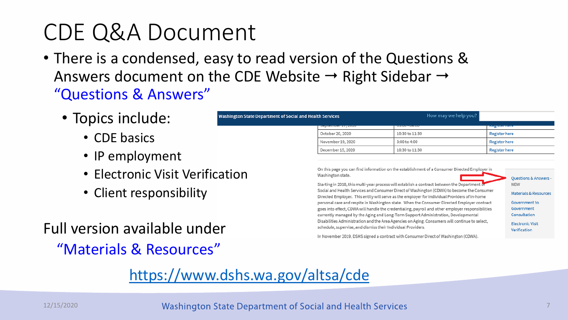### CDE Q&A Document

• There is a condensed, easy to read version of the Questions & Answers document on the CDE Website  $\rightarrow$  Right Sidebar  $\rightarrow$ "Questions & Answers"

**Washington State Department of Socia** 

- Topics include:
	- CDE basics
	- IP employment
	- Electronic Visit Verification
	- Client responsibility

| Full version available under |
|------------------------------|
| "Materials & Resources"      |

### <https://www.dshs.wa.gov/altsa/cde>

|  | al and Health Services      | How may we help you? |                      |
|--|-----------------------------|----------------------|----------------------|
|  | <b>JEPICINIJEL IT, ZUZU</b> | 00.00 - 04.00        | <b>Negeter nere</b>  |
|  | October 20, 2020            | 10:30 to 11:30       | Register here        |
|  | November 19, 2020           | 3:00 to 4:00         | <b>Register here</b> |
|  | December 15, 2020           | 10:30 to 11:30       | Register here        |

On this page you can find information on the establishment of a Consumer Directed Employer in Washington state.

Starting in 2018, this multi-year process will establish a contract between the Department Social and Health Services and Consumer Direct of Washington (CDWA) to become the Consumer Directed Employer. This entity will serve as the employer for Individual Providers of in-home personal care and respite in Washington state. When the Consumer Directed Employer contract goes into effect, CDWA will handle the credentialing, payroll and other employer responsibilities currently managed by the Aging and Long-Term Support Administration, Developmental Disabilities Administration and the Area Agencies on Aging. Consumers will continue to select, schedule, supervise, and dismiss their Individual Providers.

Questions & Answers **NEW** 

Materials & Resources

Government to Government Consultation **Electronic Visit** Verification

In November 2019, DSHS signed a contract with Consumer Direct of Washington (CDWA).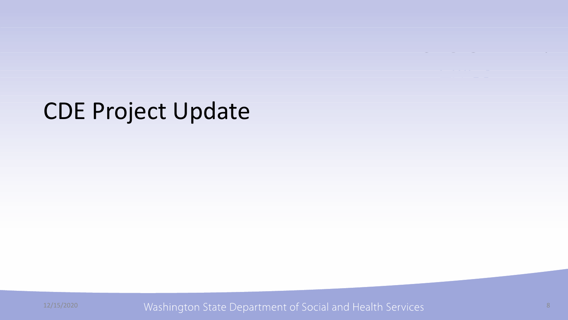### CDE Project Update

12/15/2020 Washington State Department of Social and Health Services and the state of the state of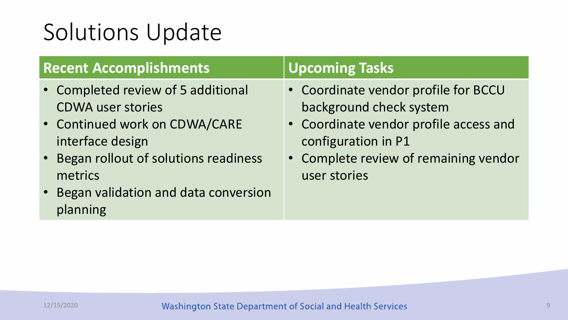### Solutions Update

| <b>Recent Accomplishments</b>          | <b>Upcoming Tasks</b>                  |
|----------------------------------------|----------------------------------------|
| • Completed review of 5 additional     | • Coordinate vendor profile for BCCU   |
| <b>CDWA user stories</b>               | background check system                |
| • Continued work on CDWA/CARE          | • Coordinate vendor profile access and |
| interface design                       | configuration in P1                    |
| • Began rollout of solutions readiness | • Complete review of remaining vendor  |
| metrics                                | user stories                           |
| • Began validation and data conversion |                                        |
| planning                               |                                        |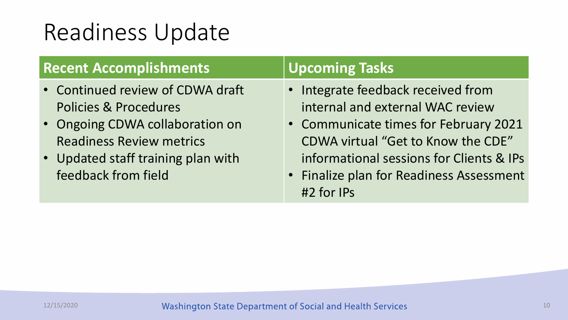### Readiness Update

| <b>Recent Accomplishments</b>                                                                                                                                                                           | <b>Upcoming Tasks</b>                                                                                                                                                                                                                                       |
|---------------------------------------------------------------------------------------------------------------------------------------------------------------------------------------------------------|-------------------------------------------------------------------------------------------------------------------------------------------------------------------------------------------------------------------------------------------------------------|
| • Continued review of CDWA draft<br><b>Policies &amp; Procedures</b><br>• Ongoing CDWA collaboration on<br><b>Readiness Review metrics</b><br>• Updated staff training plan with<br>feedback from field | • Integrate feedback received from<br>internal and external WAC review<br>• Communicate times for February 2021<br>CDWA virtual "Get to Know the CDE"<br>informational sessions for Clients & IPs<br>• Finalize plan for Readiness Assessment<br>#2 for IPs |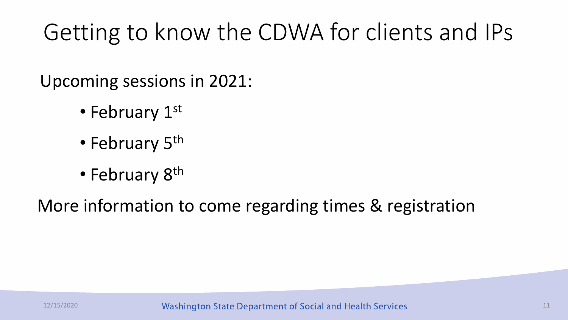### Getting to know the CDWA for clients and IPs

Upcoming sessions in 2021:

- February 1st
- February 5<sup>th</sup>
- February 8<sup>th</sup>

More information to come regarding times & registration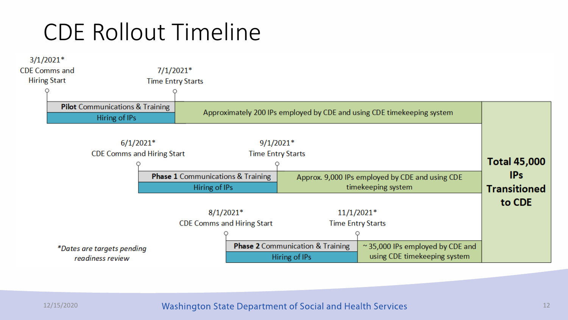### CDE Rollout Timeline

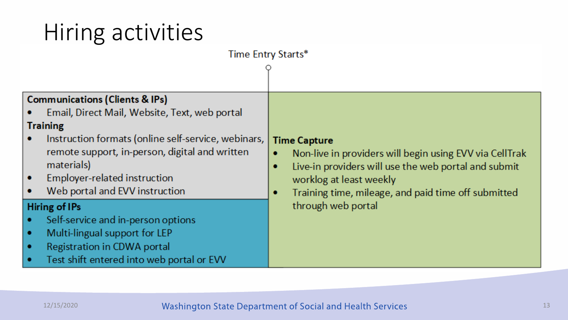## Hiring activities

| Time Entry Starts*                                                                                                                                                                                                                                                                                                                                                                                                                                     |                                                                                                                                                                                                                                                          |  |  |  |
|--------------------------------------------------------------------------------------------------------------------------------------------------------------------------------------------------------------------------------------------------------------------------------------------------------------------------------------------------------------------------------------------------------------------------------------------------------|----------------------------------------------------------------------------------------------------------------------------------------------------------------------------------------------------------------------------------------------------------|--|--|--|
| <b>Communications (Clients &amp; IPs)</b><br>Email, Direct Mail, Website, Text, web portal<br><b>Training</b><br>Instruction formats (online self-service, webinars,<br>remote support, in-person, digital and written<br>materials)<br>Employer-related instruction<br>۰<br>Web portal and EVV instruction<br>۰<br>Hiring of IPs<br>Self-service and in-person options<br>٠<br>Multi-lingual support for LEP<br>٠<br>Registration in CDWA portal<br>۰ | <b>Time Capture</b><br>Non-live in providers will begin using EVV via CellTrak<br>۰<br>Live-in providers will use the web portal and submit<br>۰<br>worklog at least weekly<br>Training time, mileage, and paid time off submitted<br>through web portal |  |  |  |
| Test shift entered into web portal or EVV<br>٠                                                                                                                                                                                                                                                                                                                                                                                                         |                                                                                                                                                                                                                                                          |  |  |  |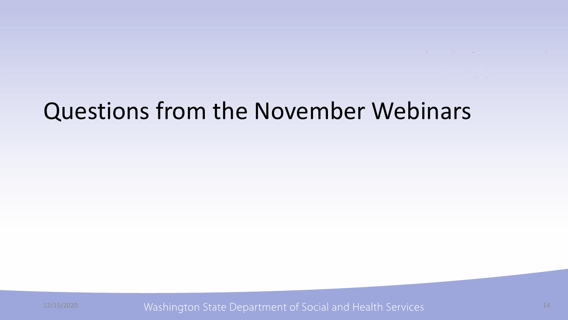### Questions from the November Webinars

12/15/2020 Washington State Department of Social and Health Services 14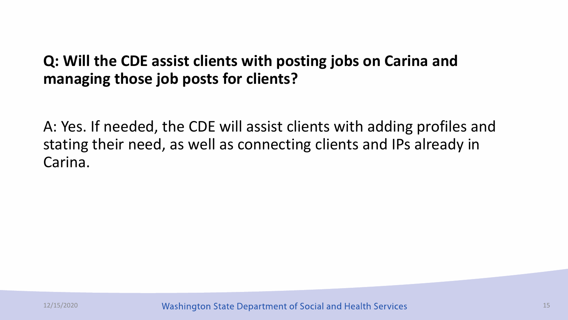#### **Q: Will the CDE assist clients with posting jobs on Carina and managing those job posts for clients?**

A: Yes. If needed, the CDE will assist clients with adding profiles and stating their need, as well as connecting clients and IPs already in Carina.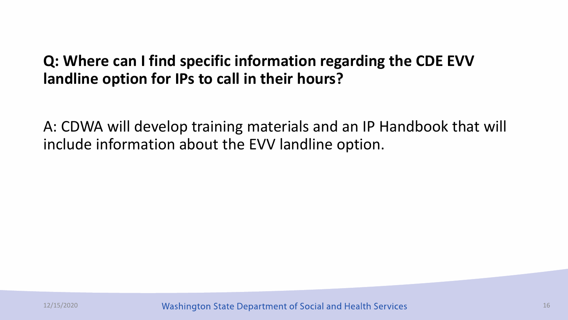#### **Q: Where can I find specific information regarding the CDE EVV landline option for IPs to call in their hours?**

A: CDWA will develop training materials and an IP Handbook that will include information about the EVV landline option.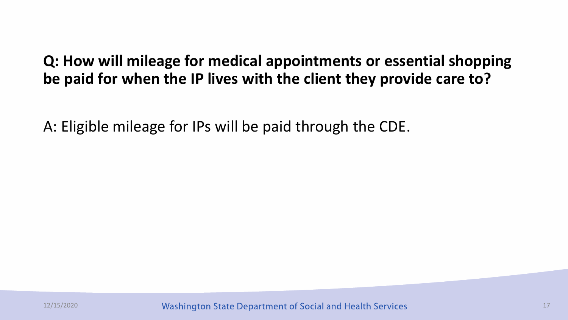### **Q: How will mileage for medical appointments or essential shopping be paid for when the IP lives with the client they provide care to?**

A: Eligible mileage for IPs will be paid through the CDE.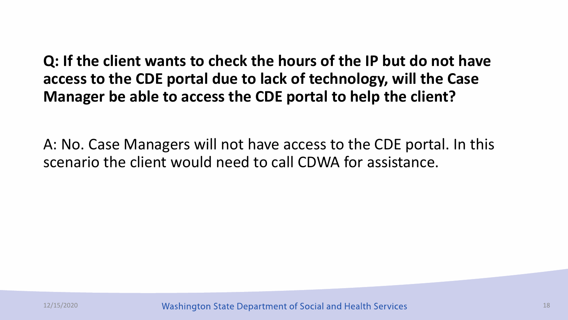**Q: If the client wants to check the hours of the IP but do not have access to the CDE portal due to lack of technology, will the Case Manager be able to access the CDE portal to help the client?**

A: No. Case Managers will not have access to the CDE portal. In this scenario the client would need to call CDWA for assistance.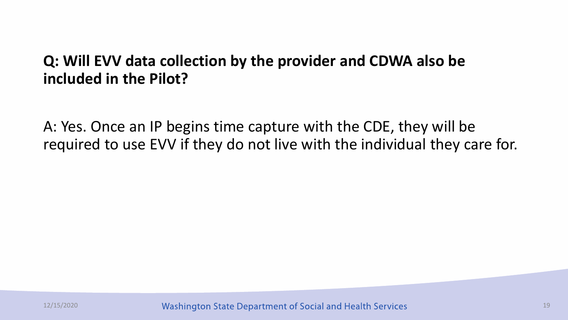#### **Q: Will EVV data collection by the provider and CDWA also be included in the Pilot?**

A: Yes. Once an IP begins time capture with the CDE, they will be required to use EVV if they do not live with the individual they care for.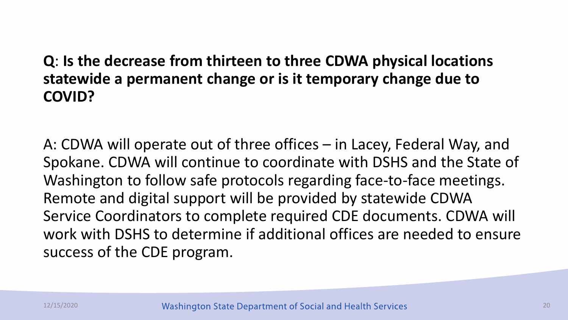#### **Q**: **Is the decrease from thirteen to three CDWA physical locations statewide a permanent change or is it temporary change due to COVID?**

A: CDWA will operate out of three offices – in Lacey, Federal Way, and Spokane. CDWA will continue to coordinate with DSHS and the State of Washington to follow safe protocols regarding face-to-face meetings. Remote and digital support will be provided by statewide CDWA Service Coordinators to complete required CDE documents. CDWA will work with DSHS to determine if additional offices are needed to ensure success of the CDE program.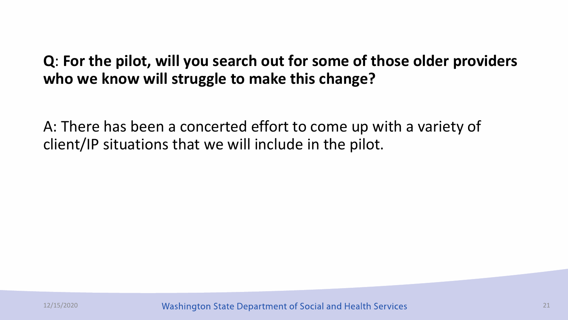### **Q**: **For the pilot, will you search out for some of those older providers who we know will struggle to make this change?**

A: There has been a concerted effort to come up with a variety of client/IP situations that we will include in the pilot.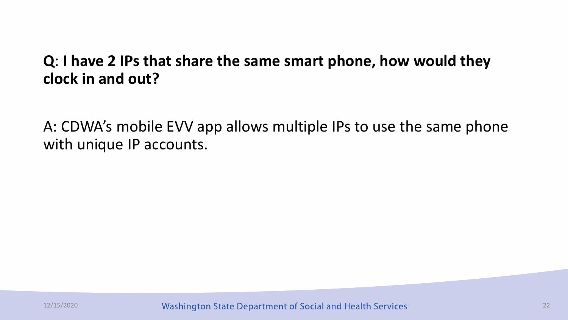#### **Q**: **I have 2 IPs that share the same smart phone, how would they clock in and out?**

A: CDWA's mobile EVV app allows multiple IPs to use the same phone with unique IP accounts.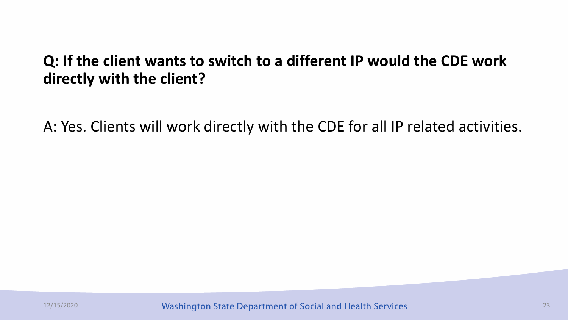### **Q: If the client wants to switch to a different IP would the CDE work directly with the client?**

A: Yes. Clients will work directly with the CDE for all IP related activities.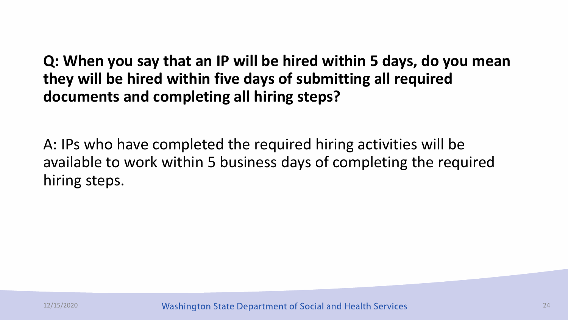**Q: When you say that an IP will be hired within 5 days, do you mean they will be hired within five days of submitting all required documents and completing all hiring steps?** 

A: IPs who have completed the required hiring activities will be available to work within 5 business days of completing the required hiring steps.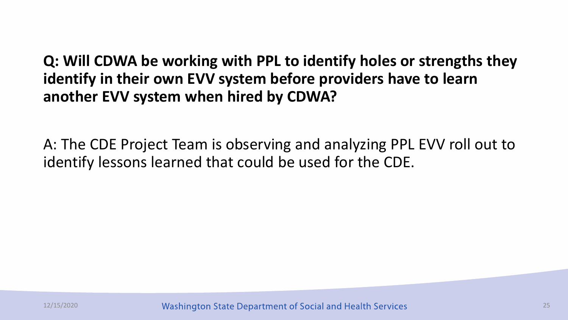**Q: Will CDWA be working with PPL to identify holes or strengths they identify in their own EVV system before providers have to learn another EVV system when hired by CDWA?**

A: The CDE Project Team is observing and analyzing PPL EVV roll out to identify lessons learned that could be used for the CDE.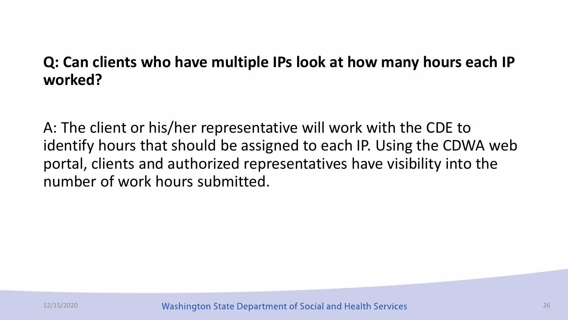### **Q: Can clients who have multiple IPs look at how many hours each IP worked?**

A: The client or his/her representative will work with the CDE to identify hours that should be assigned to each IP. Using the CDWA web portal, clients and authorized representatives have visibility into the number of work hours submitted.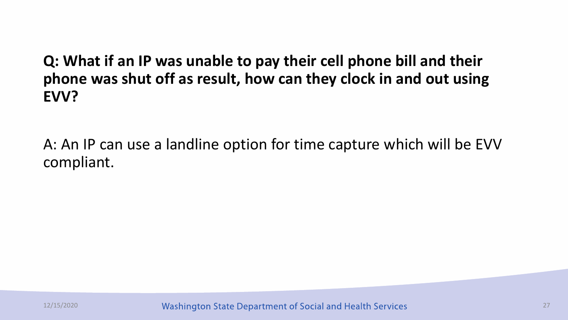**Q: What if an IP was unable to pay their cell phone bill and their phone was shut off as result, how can they clock in and out using EVV?**

A: An IP can use a landline option for time capture which will be EVV compliant.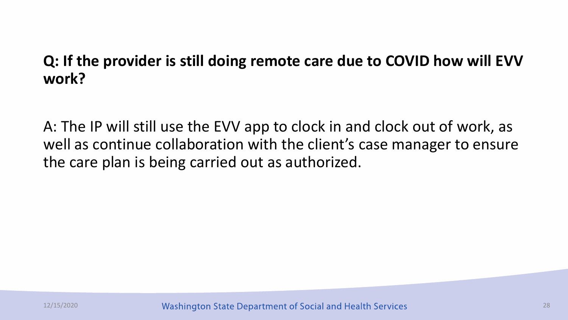### **Q: If the provider is still doing remote care due to COVID how will EVV work?**

A: The IP will still use the EVV app to clock in and clock out of work, as well as continue collaboration with the client's case manager to ensure the care plan is being carried out as authorized.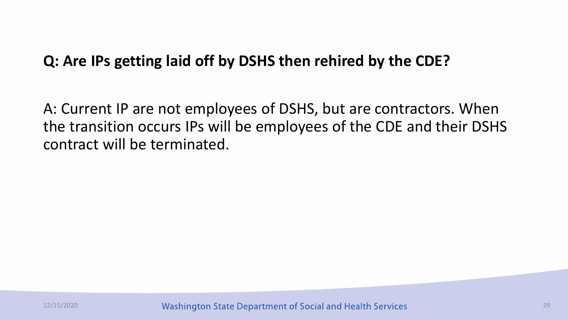#### **Q: Are IPs getting laid off by DSHS then rehired by the CDE?**

A: Current IP are not employees of DSHS, but are contractors. When the transition occurs IPs will be employees of the CDE and their DSHS contract will be terminated.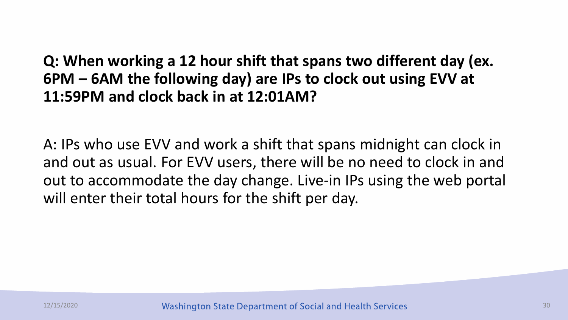**Q: When working a 12 hour shift that spans two different day (ex. 6PM – 6AM the following day) are IPs to clock out using EVV at 11:59PM and clock back in at 12:01AM?**

A: IPs who use EVV and work a shift that spans midnight can clock in and out as usual. For EVV users, there will be no need to clock in and out to accommodate the day change. Live-in IPs using the web portal will enter their total hours for the shift per day.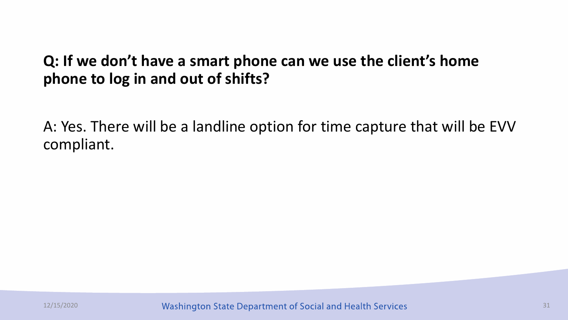### **Q: If we don't have a smart phone can we use the client's home phone to log in and out of shifts?**

A: Yes. There will be a landline option for time capture that will be EVV compliant.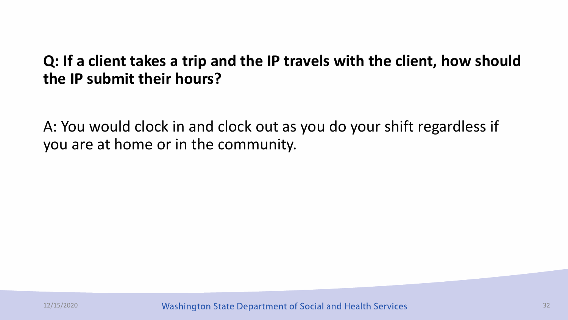#### **Q: If a client takes a trip and the IP travels with the client, how should the IP submit their hours?**

A: You would clock in and clock out as you do your shift regardless if you are at home or in the community.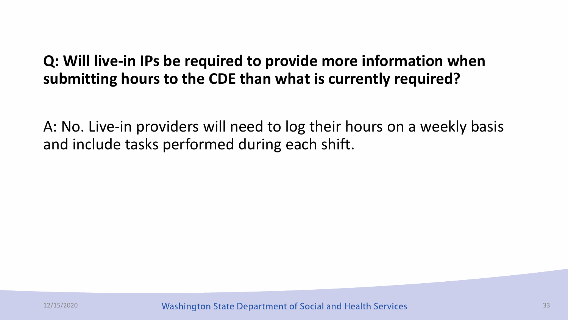### **Q: Will live-in IPs be required to provide more information when submitting hours to the CDE than what is currently required?**

A: No. Live-in providers will need to log their hours on a weekly basis and include tasks performed during each shift.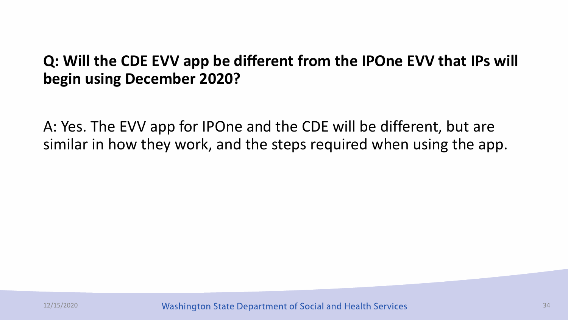### **Q: Will the CDE EVV app be different from the IPOne EVV that IPs will begin using December 2020?**

A: Yes. The EVV app for IPOne and the CDE will be different, but are similar in how they work, and the steps required when using the app.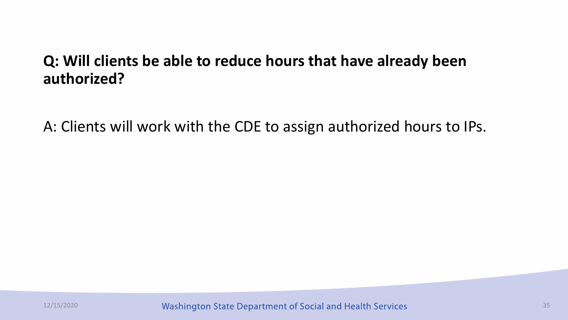#### **Q: Will clients be able to reduce hours that have already been authorized?**

A: Clients will work with the CDE to assign authorized hours to IPs.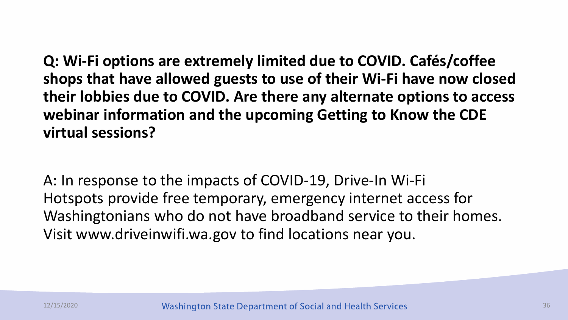**Q: Wi-Fi options are extremely limited due to COVID. Cafés/coffee shops that have allowed guests to use of their Wi-Fi have now closed their lobbies due to COVID. Are there any alternate options to access webinar information and the upcoming Getting to Know the CDE virtual sessions?**

A: In response to the impacts of COVID-19, Drive-In Wi-Fi Hotspots provide free temporary, emergency internet access for Washingtonians who do not have broadband service to their homes. Visit www.driveinwifi.wa.gov to find locations near you.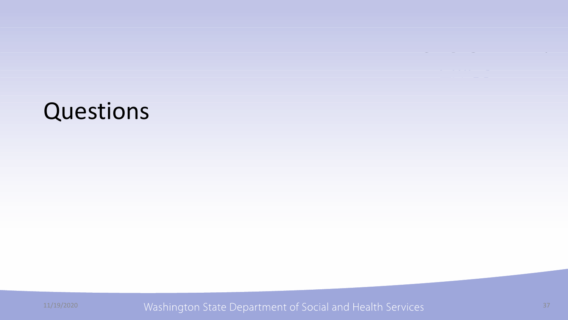

11/19/2020 Washington State Department of Social and Health Services 37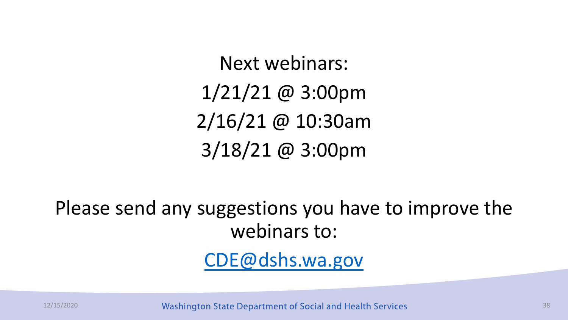Next webinars: 1/21/21 @ 3:00pm 2/16/21 @ 10:30am 3/18/21 @ 3:00pm

Please send any suggestions you have to improve the webinars to:

[CDE@dshs.wa.gov](mailto:CDE@dshs.wa.gov)

12/15/2020 38